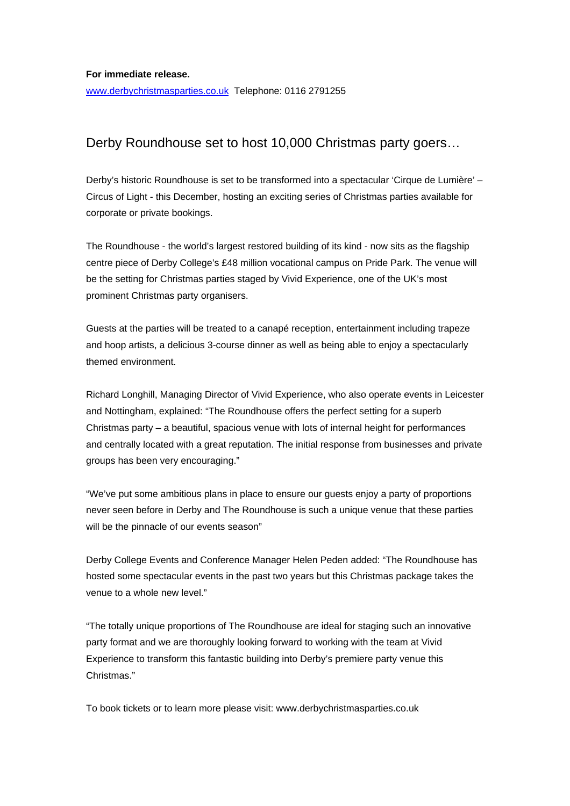[www.derbychristmasparties.co.uk](http://www.derbychristmasparties.co.uk/) Telephone: 0116 2791255

## Derby Roundhouse set to host 10,000 Christmas party goers…

Derby's historic Roundhouse is set to be transformed into a spectacular 'Cirque de Lumière' – Circus of Light - this December, hosting an exciting series of Christmas parties available for corporate or private bookings.

The Roundhouse - the world's largest restored building of its kind - now sits as the flagship centre piece of Derby College's £48 million vocational campus on Pride Park. The venue will be the setting for Christmas parties staged by Vivid Experience, one of the UK's most prominent Christmas party organisers.

Guests at the parties will be treated to a canapé reception, entertainment including trapeze and hoop artists, a delicious 3-course dinner as well as being able to enjoy a spectacularly themed environment.

Richard Longhill, Managing Director of Vivid Experience, who also operate events in Leicester and Nottingham, explained: "The Roundhouse offers the perfect setting for a superb Christmas party – a beautiful, spacious venue with lots of internal height for performances and centrally located with a great reputation. The initial response from businesses and private groups has been very encouraging."

"We've put some ambitious plans in place to ensure our guests enjoy a party of proportions never seen before in Derby and The Roundhouse is such a unique venue that these parties will be the pinnacle of our events season"

Derby College Events and Conference Manager Helen Peden added: "The Roundhouse has hosted some spectacular events in the past two years but this Christmas package takes the venue to a whole new level."

"The totally unique proportions of The Roundhouse are ideal for staging such an innovative party format and we are thoroughly looking forward to working with the team at Vivid Experience to transform this fantastic building into Derby's premiere party venue this Christmas."

To book tickets or to learn more please visit: www.derbychristmasparties.co.uk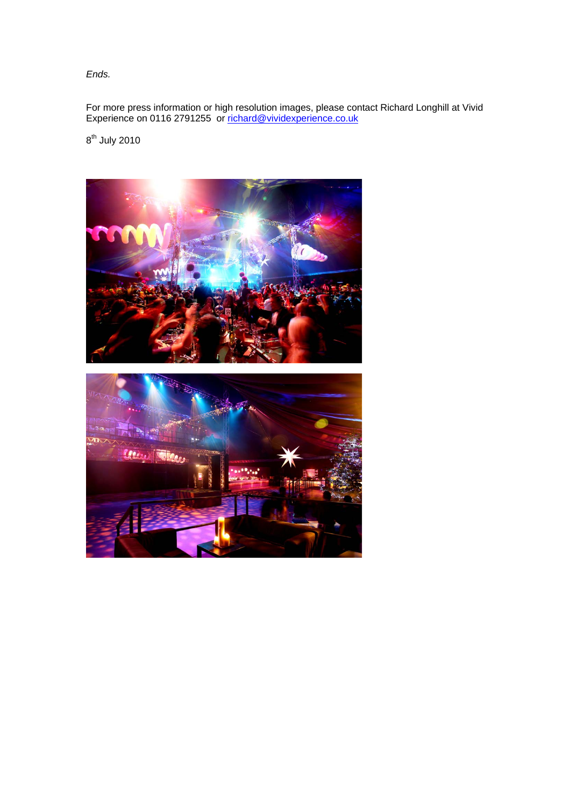*Ends.* 

For more press information or high resolution images, please contact Richard Longhill at Vivid Experience on 0116 2791255 or [richard@vividexperience.co.uk](mailto:richard@vividexperience.co.uk)

 $8^{th}$  July 2010